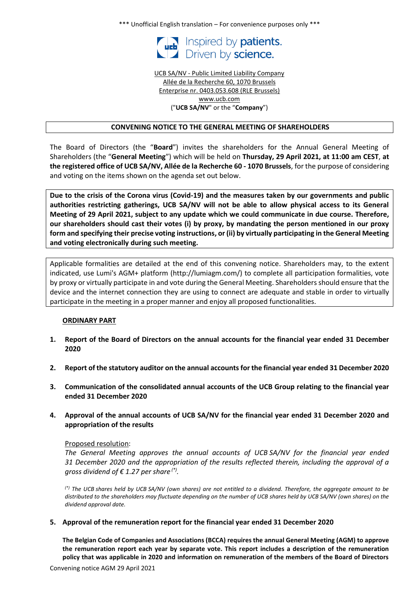\*\*\* Unofficial English translation – For convenience purposes only \*\*\*



UCB SA/NV - Public Limited Liability Company Allée de la Recherche 60, 1070 Brussels Enterprise nr. 0403.053.608 (RLE Brussels) www.ucb.com ("**UCB SA/NV**" or the "**Company**")

### **CONVENING NOTICE TO THE GENERAL MEETING OF SHAREHOLDERS**

The Board of Directors (the "**Board**") invites the shareholders for the Annual General Meeting of Shareholders (the "**General Meeting**") which will be held on **Thursday, 29 April 2021, at 11:00 am CEST**, **at the registered office of UCB SA/NV, Allée de la Recherche 60 - 1070 Brussels**, for the purpose of considering and voting on the items shown on the agenda set out below.

**Due to the crisis of the Corona virus (Covid-19) and the measures taken by our governments and public authorities restricting gatherings, UCB SA/NV will not be able to allow physical access to its General Meeting of 29 April 2021, subject to any update which we could communicate in due course. Therefore, our shareholders should cast their votes (i) by proxy, by mandating the person mentioned in our proxy form and specifying their precise voting instructions, or (ii) by virtually participating in the General Meeting and voting electronically during such meeting.**

Applicable formalities are detailed at the end of this convening notice. Shareholders may, to the extent indicated, use Lumi's AGM+ platform (http://lumiagm.com/) to complete all participation formalities, vote by proxy or virtually participate in and vote during the General Meeting. Shareholders should ensure that the device and the internet connection they are using to connect are adequate and stable in order to virtually participate in the meeting in a proper manner and enjoy all proposed functionalities.

## **ORDINARY PART**

- **1. Report of the Board of Directors on the annual accounts for the financial year ended 31 December 2020**
- **2. Report of the statutory auditor on the annual accounts for the financial year ended 31 December 2020**
- **3. Communication of the consolidated annual accounts of the UCB Group relating to the financial year ended 31 December 2020**
- **4. Approval of the annual accounts of UCB SA/NV for the financial year ended 31 December 2020 and appropriation of the results**

#### Proposed resolution:

*The General Meeting approves the annual accounts of UCB SA/NV for the financial year ended 31 December 2020 and the appropriation of the results reflected therein, including the approval of a gross dividend of € 1.27 per share (\*) .*

*(\*) The UCB shares held by UCB SA/NV (own shares) are not entitled to a dividend. Therefore, the aggregate amount to be distributed to the shareholders may fluctuate depending on the number of UCB shares held by UCB SA/NV (own shares) on the dividend approval date.*

#### **5. Approval of the remuneration report for the financial year ended 31 December 2020**

**The Belgian Code of Companies and Associations (BCCA) requires the annual General Meeting (AGM) to approve the remuneration report each year by separate vote. This report includes a description of the remuneration policy that was applicable in 2020 and information on remuneration of the members of the Board of Directors**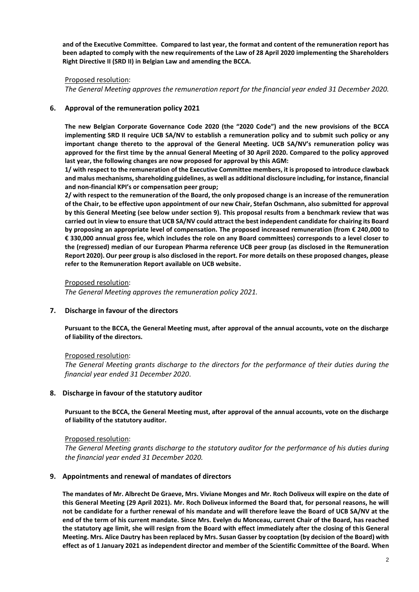**and of the Executive Committee. Compared to last year, the format and content of the remuneration report has been adapted to comply with the new requirements of the Law of 28 April 2020 implementing the Shareholders Right Directive II (SRD II) in Belgian Law and amending the BCCA.** 

### Proposed resolution:

*The General Meeting approves the remuneration report for the financial year ended 31 December 2020.*

### **6. Approval of the remuneration policy 2021**

**The new Belgian Corporate Governance Code 2020 (the "2020 Code") and the new provisions of the BCCA implementing SRD II require UCB SA/NV to establish a remuneration policy and to submit such policy or any important change thereto to the approval of the General Meeting. UCB SA/NV's remuneration policy was approved for the first time by the annual General Meeting of 30 April 2020. Compared to the policy approved last year, the following changes are now proposed for approval by this AGM:** 

**1/ with respect to the remuneration of the Executive Committee members, it is proposed to introduce clawback and malus mechanisms, shareholding guidelines, as well as additional disclosure including, for instance, financial and non-financial KPI's or compensation peer group;** 

**2/ with respect to the remuneration of the Board, the only proposed change is an increase of the remuneration of the Chair, to be effective upon appointment of our new Chair, Stefan Oschmann, also submitted for approval by this General Meeting (see below under section 9). This proposal results from a benchmark review that was carried out in view to ensure that UCB SA/NV could attract the best independent candidate for chairing its Board by proposing an appropriate level of compensation. The proposed increased remuneration (from € 240,000 to € 330,000 annual gross fee, which includes the role on any Board committees) corresponds to a level closer to the (regressed) median of our European Pharma reference UCB peer group (as disclosed in the Remuneration Report 2020). Our peer group is also disclosed in the report. For more details on these proposed changes, please refer to the Remuneration Report available on UCB website.**

Proposed resolution:

*The General Meeting approves the remuneration policy 2021.*

## **7. Discharge in favour of the directors**

**Pursuant to the BCCA, the General Meeting must, after approval of the annual accounts, vote on the discharge of liability of the directors.** 

## Proposed resolution:

*The General Meeting grants discharge to the directors for the performance of their duties during the financial year ended 31 December 2020*.

#### **8. Discharge in favour of the statutory auditor**

**Pursuant to the BCCA, the General Meeting must, after approval of the annual accounts, vote on the discharge of liability of the statutory auditor.** 

#### Proposed resolution:

*The General Meeting grants discharge to the statutory auditor for the performance of his duties during the financial year ended 31 December 2020.*

#### **9. Appointments and renewal of mandates of directors**

**The mandates of Mr. Albrecht De Graeve, Mrs. Viviane Monges and Mr. Roch Doliveux will expire on the date of this General Meeting (29 April 2021). Mr. Roch Doliveux informed the Board that, for personal reasons, he will not be candidate for a further renewal of his mandate and will therefore leave the Board of UCB SA/NV at the end of the term of his current mandate. Since Mrs. Evelyn du Monceau, current Chair of the Board, has reached the statutory age limit, she will resign from the Board with effect immediately after the closing of this General Meeting. Mrs. Alice Dautry has been replaced by Mrs. Susan Gasser by cooptation (by decision of the Board) with effect as of 1 January 2021 as independent director and member of the Scientific Committee of the Board. When**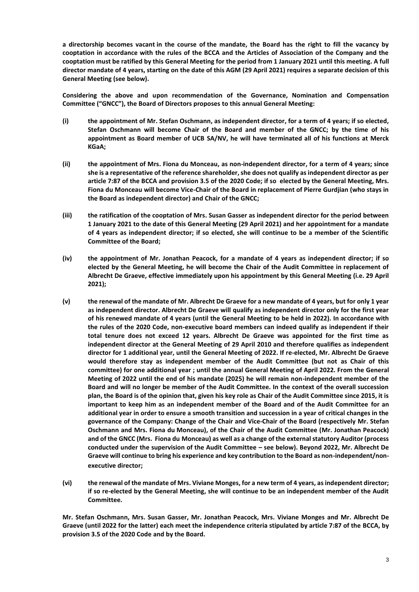**a directorship becomes vacant in the course of the mandate, the Board has the right to fill the vacancy by cooptation in accordance with the rules of the BCCA and the Articles of Association of the Company and the cooptation must be ratified by this General Meeting for the period from 1 January 2021 until this meeting. A full director mandate of 4 years, starting on the date of this AGM (29 April 2021) requires a separate decision of this General Meeting (see below).**

**Considering the above and upon recommendation of the Governance, Nomination and Compensation Committee ("GNCC"), the Board of Directors proposes to this annual General Meeting:** 

- **(i) the appointment of Mr. Stefan Oschmann, as independent director, for a term of 4 years; if so elected, Stefan Oschmann will become Chair of the Board and member of the GNCC; by the time of his appointment as Board member of UCB SA/NV, he will have terminated all of his functions at Merck KGaA;**
- **(ii) the appointment of Mrs. Fiona du Monceau, as non-independent director, for a term of 4 years; since she is a representative of the reference shareholder, she does not qualify as independent director as per article 7:87 of the BCCA and provision 3.5 of the 2020 Code; if so elected by the General Meeting, Mrs. Fiona du Monceau will become Vice-Chair of the Board in replacement of Pierre Gurdjian (who stays in the Board as independent director) and Chair of the GNCC;**
- **(iii) the ratification of the cooptation of Mrs. Susan Gasser as independent director for the period between 1 January 2021 to the date of this General Meeting (29 April 2021) and her appointment for a mandate of 4 years as independent director; if so elected, she will continue to be a member of the Scientific Committee of the Board;**
- **(iv) the appointment of Mr. Jonathan Peacock, for a mandate of 4 years as independent director; if so elected by the General Meeting, he will become the Chair of the Audit Committee in replacement of Albrecht De Graeve, effective immediately upon his appointment by this General Meeting (i.e. 29 April 2021);**
- **(v) the renewal of the mandate of Mr. Albrecht De Graeve for a new mandate of 4 years, but for only 1 year as independent director. Albrecht De Graeve will qualify as independent director only for the first year of his renewed mandate of 4 years (until the General Meeting to be held in 2022). In accordance with the rules of the 2020 Code, non-executive board members can indeed qualify as independent if their total tenure does not exceed 12 years. Albrecht De Graeve was appointed for the first time as independent director at the General Meeting of 29 April 2010 and therefore qualifies as independent director for 1 additional year, until the General Meeting of 2022. If re-elected, Mr. Albrecht De Graeve would therefore stay as independent member of the Audit Committee (but not as Chair of this committee) for one additional year ; until the annual General Meeting of April 2022. From the General Meeting of 2022 until the end of his mandate (2025) he will remain non-independent member of the Board and will no longer be member of the Audit Committee. In the context of the overall succession plan, the Board is of the opinion that, given his key role as Chair of the Audit Committee since 2015, it is important to keep him as an independent member of the Board and of the Audit Committee for an additional year in order to ensure a smooth transition and succession in a year of critical changes in the governance of the Company: Change of the Chair and Vice-Chair of the Board (respectively Mr. Stefan Oschmann and Mrs. Fiona du Monceau), of the Chair of the Audit Committee (Mr. Jonathan Peacock) and of the GNCC (Mrs. Fiona du Monceau) as well as a change of the external statutory Auditor (process conducted under the supervision of the Audit Committee – see below). Beyond 2022, Mr. Albrecht De Graeve will continue to bring his experience and key contribution to the Board as non-independent/nonexecutive director;**
- **(vi) the renewal of the mandate of Mrs. Viviane Monges, for a new term of 4 years, as independent director; if so re-elected by the General Meeting, she will continue to be an independent member of the Audit Committee.**

**Mr. Stefan Oschmann, Mrs. Susan Gasser, Mr. Jonathan Peacock, Mrs. Viviane Monges and Mr. Albrecht De Graeve (until 2022 for the latter) each meet the independence criteria stipulated by article 7:87 of the BCCA, by provision 3.5 of the 2020 Code and by the Board.**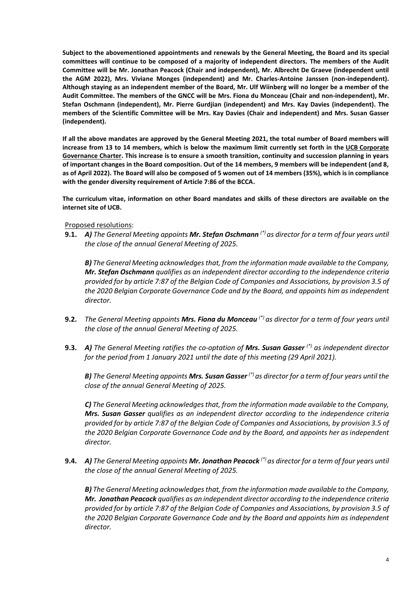**Subject to the abovementioned appointments and renewals by the General Meeting, the Board and its special committees will continue to be composed of a majority of independent directors. The members of the Audit Committee will be Mr. Jonathan Peacock (Chair and independent), Mr. Albrecht De Graeve (independent until the AGM 2022), Mrs. Viviane Monges (independent) and Mr. Charles-Antoine Janssen (non-independent). Although staying as an independent member of the Board, Mr. Ulf Wiinberg will no longer be a member of the Audit Committee. The members of the GNCC will be Mrs. Fiona du Monceau (Chair and non-independent), Mr. Stefan Oschmann (independent), Mr. Pierre Gurdjian (independent) and Mrs. Kay Davies (independent). The members of the Scientific Committee will be Mrs. Kay Davies (Chair and independent) and Mrs. Susan Gasser (independent).** 

**If all the above mandates are approved by the General Meeting 2021, the total number of Board members will increase from 13 to 14 members, which is below the maximum limit currently set forth in the UCB Corporate Governance Charter. This increase is to ensure a smooth transition, continuity and succession planning in years of important changes in the Board composition. Out of the 14 members, 9 members will be independent (and 8, as of April 2022). The Board will also be composed of 5 women out of 14 members (35%), which is in compliance with the gender diversity requirement of Article 7:86 of the BCCA.**

**The curriculum vitae, information on other Board mandates and skills of these directors are available on the internet site of UCB.**

Proposed resolutions:

**9.1.** *A) The General Meeting appoints Mr. Stefan Oschmann (\*) as director for a term of four years until the close of the annual General Meeting of 2025.*

*B) The General Meeting acknowledges that, from the information made available to the Company, Mr. Stefan Oschmann qualifies as an independent director according to the independence criteria provided for by article 7:87 of the Belgian Code of Companies and Associations, by provision 3.5 of the 2020 Belgian Corporate Governance Code and by the Board, and appoints him as independent director.*

- **9.2.** *The General Meeting appoints Mrs. Fiona du Monceau (\*) as director for a term of four years until the close of the annual General Meeting of 2025.*
- **9.3.** *A) The General Meeting ratifies the co-optation of Mrs. Susan Gasser (\*) as independent director for the period from 1 January 2021 until the date of this meeting (29 April 2021).*

*B) The General Meeting appoints Mrs. Susan Gasser (\*) as director for a term of four years until the close of the annual General Meeting of 2025.*

*C) The General Meeting acknowledges that, from the information made available to the Company, Mrs. Susan Gasser qualifies as an independent director according to the independence criteria provided for by article 7:87 of the Belgian Code of Companies and Associations, by provision 3.5 of the 2020 Belgian Corporate Governance Code and by the Board, and appoints her as independent director.*

**9.4.** *A) The General Meeting appoints Mr. Jonathan Peacock (\*) as director for a term of four years until the close of the annual General Meeting of 2025.*

*B) The General Meeting acknowledges that, from the information made available to the Company, Mr. Jonathan Peacock qualifies as an independent director according to the independence criteria provided for by article 7:87 of the Belgian Code of Companies and Associations, by provision 3.5 of the 2020 Belgian Corporate Governance Code and by the Board and appoints him as independent director.*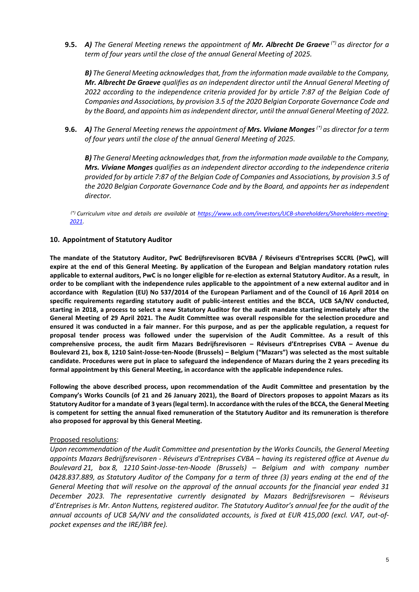**9.5.** *A) The General Meeting renews the appointment of Mr. Albrecht De Graeve (\*) as director for a term of four years until the close of the annual General Meeting of 2025.*

*B) The General Meeting acknowledges that, from the information made available to the Company, Mr. Albrecht De Graeve qualifies as an independent director until the Annual General Meeting of 2022 according to the independence criteria provided for by article 7:87 of the Belgian Code of Companies and Associations, by provision 3.5 of the 2020 Belgian Corporate Governance Code and by the Board, and appoints him as independent director, until the annual General Meeting of 2022.*

**9.6.** *A) The General Meeting renews the appointment of Mrs. Viviane Monges (\*) as director for a term of four years until the close of the annual General Meeting of 2025.*

*B) The General Meeting acknowledges that, from the information made available to the Company, Mrs. Viviane Monges qualifies as an independent director according to the independence criteria provided for by article 7:87 of the Belgian Code of Companies and Associations, by provision 3.5 of the 2020 Belgian Corporate Governance Code and by the Board, and appoints her as independent director.*

*(\*) Curriculum vitae and details are available at [https://www.ucb.com/investors/UCB-shareholders/Shareholders-meeting-](https://www.ucb.com/investors/UCB-shareholders/Shareholders-meeting-2021)[2021.](https://www.ucb.com/investors/UCB-shareholders/Shareholders-meeting-2021)*

## **10. Appointment of Statutory Auditor**

**The mandate of the Statutory Auditor, PwC Bedrijfsrevisoren BCVBA / Réviseurs d'Entreprises SCCRL (PwC), will expire at the end of this General Meeting. By application of the European and Belgian mandatory rotation rules applicable to external auditors, PwC is no longer eligible for re-election as external Statutory Auditor. As a result, in order to be compliant with the independence rules applicable to the appointment of a new external auditor and in accordance with Regulation (EU) No 537/2014 of the European Parliament and of the Council of 16 April 2014 on specific requirements regarding statutory audit of public-interest entities and the BCCA, UCB SA/NV conducted, starting in 2018, a process to select a new Statutory Auditor for the audit mandate starting immediately after the General Meeting of 29 April 2021. The Audit Committee was overall responsible for the selection procedure and ensured it was conducted in a fair manner. For this purpose, and as per the applicable regulation, a request for proposal tender process was followed under the supervision of the Audit Committee. As a result of this comprehensive process, the audit firm Mazars Bedrijfsrevisoren – Réviseurs d'Entreprises CVBA – Avenue du Boulevard 21, box 8, 1210 Saint-Josse-ten-Noode (Brussels) – Belgium ("Mazars") was selected as the most suitable candidate. Procedures were put in place to safeguard the independence of Mazars during the 2 years preceding its formal appointment by this General Meeting, in accordance with the applicable independence rules.** 

**Following the above described process, upon recommendation of the Audit Committee and presentation by the Company's Works Councils (of 21 and 26 January 2021), the Board of Directors proposes to appoint Mazars as its Statutory Auditor for a mandate of 3 years (legal term). In accordance with the rules of the BCCA, the General Meeting is competent for setting the annual fixed remuneration of the Statutory Auditor and its remuneration is therefore also proposed for approval by this General Meeting.**

## Proposed resolutions:

*Upon recommendation of the Audit Committee and presentation by the Works Councils, the General Meeting appoints Mazars Bedrijfsrevisoren - Réviseurs d'Entreprises CVBA – having its registered office at Avenue du Boulevard 21, box 8, 1210 Saint-Josse-ten-Noode (Brussels) – Belgium and with company number 0428.837.889, as Statutory Auditor of the Company for a term of three (3) years ending at the end of the General Meeting that will resolve on the approval of the annual accounts for the financial year ended 31*  December 2023. The representative currently designated by Mazars Bedrijfsrevisoren – Réviseurs *d'Entreprises is Mr. Anton Nuttens, registered auditor. The Statutory Auditor's annual fee for the audit of the annual accounts of UCB SA/NV and the consolidated accounts, is fixed at EUR 415,000 (excl. VAT, out-ofpocket expenses and the IRE/IBR fee).*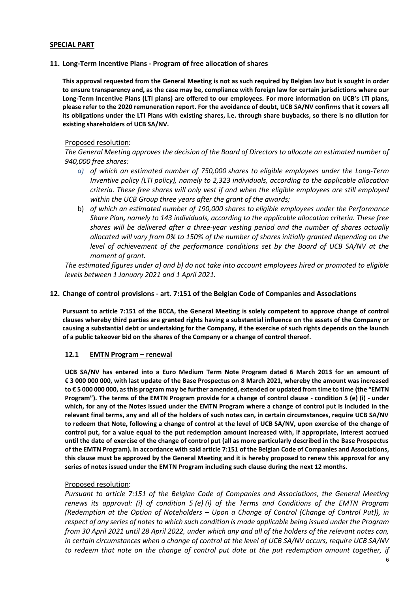### **SPECIAL PART**

### **11. Long-Term Incentive Plans - Program of free allocation of shares**

**This approval requested from the General Meeting is not as such required by Belgian law but is sought in order to ensure transparency and, as the case may be, compliance with foreign law for certain jurisdictions where our Long-Term Incentive Plans (LTI plans) are offered to our employees. For more information on UCB's LTI plans, please refer to the 2020 remuneration report. For the avoidance of doubt, UCB SA/NV confirms that it covers all its obligations under the LTI Plans with existing shares, i.e. through share buybacks, so there is no dilution for existing shareholders of UCB SA/NV.** 

### Proposed resolution:

*The General Meeting approves the decision of the Board of Directors to allocate an estimated number of 940,000 free shares:*

- *a) of which an estimated number of 750,000 shares to eligible employees under the Long-Term Inventive policy (LTI policy), namely to 2,323 individuals, according to the applicable allocation criteria. These free shares will only vest if and when the eligible employees are still employed within the UCB Group three years after the grant of the awards;*
- b) *of which an estimated number of 190,000 shares to eligible employees under the Performance Share Plan, namely to 143 individuals, according to the applicable allocation criteria. These free shares will be delivered after a three-year vesting period and the number of shares actually allocated will vary from 0% to 150% of the number of shares initially granted depending on the level of achievement of the performance conditions set by the Board of UCB SA/NV at the moment of grant.*

*The estimated figures under a) and b) do not take into account employees hired or promoted to eligible levels between 1 January 2021 and 1 April 2021.*

### **12. Change of control provisions - art. 7:151 of the Belgian Code of Companies and Associations**

**Pursuant to article 7:151 of the BCCA, the General Meeting is solely competent to approve change of control clauses whereby third parties are granted rights having a substantial influence on the assets of the Company or causing a substantial debt or undertaking for the Company, if the exercise of such rights depends on the launch of a public takeover bid on the shares of the Company or a change of control thereof.** 

#### **12.1 EMTN Program – renewal**

**UCB SA/NV has entered into a Euro Medium Term Note Program dated 6 March 2013 for an amount of € 3 000 000 000, with last update of the Base Prospectus on 8 March 2021, whereby the amount was increased to € 5 000 000 000, as this program may be further amended, extended or updated from time to time (the "EMTN Program"). The terms of the EMTN Program provide for a change of control clause - condition 5 (e) (i) - under which, for any of the Notes issued under the EMTN Program where a change of control put is included in the relevant final terms, any and all of the holders of such notes can, in certain circumstances, require UCB SA/NV to redeem that Note, following a change of control at the level of UCB SA/NV, upon exercise of the change of control put, for a value equal to the put redemption amount increased with, if appropriate, interest accrued until the date of exercise of the change of control put (all as more particularly described in the Base Prospectus of the EMTN Program). In accordance with said article 7:151 of the Belgian Code of Companies and Associations, this clause must be approved by the General Meeting and it is hereby proposed to renew this approval for any series of notes issued under the EMTN Program including such clause during the next 12 months.** 

## Proposed resolution:

*Pursuant to article 7:151 of the Belgian Code of Companies and Associations, the General Meeting renews its approval: (i) of condition 5 (e) (i) of the Terms and Conditions of the EMTN Program (Redemption at the Option of Noteholders – Upon a Change of Control (Change of Control Put)), in respect of any series of notes to which such condition is made applicable being issued under the Program from 30 April 2021 until 28 April 2022, under which any and all of the holders of the relevant notes can, in certain circumstances when a change of control at the level of UCB SA/NV occurs, require UCB SA/NV to redeem that note on the change of control put date at the put redemption amount together, if*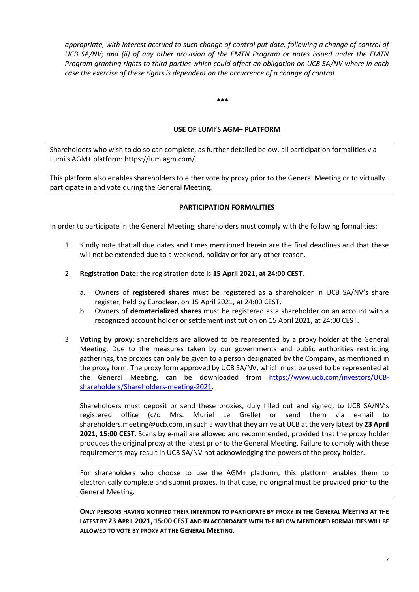*appropriate, with interest accrued to such change of control put date, following a change of control of UCB SA/NV; and (ii) of any other provision of the EMTN Program or notes issued under the EMTN Program granting rights to third parties which could affect an obligation on UCB SA/NV where in each case the exercise of these rights is dependent on the occurrence of a change of control.*

**\*\*\***

# **USE OF LUMI'S AGM+ PLATFORM**

Shareholders who wish to do so can complete, as further detailed below, all participation formalities via Lumi's AGM+ platform: https://lumiagm.com/.

This platform also enables shareholders to either vote by proxy prior to the General Meeting or to virtually participate in and vote during the General Meeting.

## **PARTICIPATION FORMALITIES**

In order to participate in the General Meeting, shareholders must comply with the following formalities:

- 1. Kindly note that all due dates and times mentioned herein are the final deadlines and that these will not be extended due to a weekend, holiday or for any other reason.
- 2. **Registration Date:** the registration date is **15 April 2021, at 24:00 CEST**.
	- a. Owners of **registered shares** must be registered as a shareholder in UCB SA/NV's share register, held by Euroclear, on 15 April 2021, at 24:00 CEST.
	- b. Owners of **dematerialized shares** must be registered as a shareholder on an account with a recognized account holder or settlement institution on 15 April 2021, at 24:00 CEST.
- 3. **Voting by proxy**: shareholders are allowed to be represented by a proxy holder at the General Meeting. Due to the measures taken by our governments and public authorities restricting gatherings, the proxies can only be given to a person designated by the Company, as mentioned in the proxy form. The proxy form approved by UCB SA/NV, which must be used to be represented at the General Meeting, can be downloaded from [https://www.ucb.com/investors/UCB](https://www.ucb.com/investors/UCB-shareholders/Shareholders-meeting-2021)[shareholders/Shareholders-meeting-2021.](https://www.ucb.com/investors/UCB-shareholders/Shareholders-meeting-2021)

Shareholders must deposit or send these proxies, duly filled out and signed, to UCB SA/NV's registered office (c/o Mrs. Muriel Le Grelle) or send them via e-mail to [shareholders.meeting@ucb.com,](mailto:shareholders.meeting@ucb.com) in such a way that they arrive at UCB at the very latest by **23 April 2021, 15:00 CEST**. Scans by e-mail are allowed and recommended, provided that the proxy holder produces the original proxy at the latest prior to the General Meeting. Failure to comply with these requirements may result in UCB SA/NV not acknowledging the powers of the proxy holder.

For shareholders who choose to use the AGM+ platform, this platform enables them to electronically complete and submit proxies. In that case, no original must be provided prior to the General Meeting.

**ONLY PERSONS HAVING NOTIFIED THEIR INTENTION TO PARTICIPATE BY PROXY IN THE GENERAL MEETING AT THE LATEST BY 23 APRIL 2021, 15:00 CEST AND IN ACCORDANCE WITH THE BELOW MENTIONED FORMALITIES WILL BE ALLOWED TO VOTE BY PROXY AT THE GENERAL MEETING**.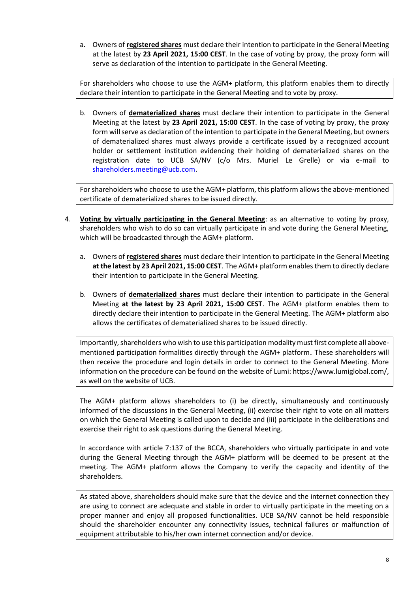a. Owners of **registered shares** must declare their intention to participate in the General Meeting at the latest by **23 April 2021, 15:00 CEST**. In the case of voting by proxy, the proxy form will serve as declaration of the intention to participate in the General Meeting.

For shareholders who choose to use the AGM+ platform, this platform enables them to directly declare their intention to participate in the General Meeting and to vote by proxy.

b. Owners of **dematerialized shares** must declare their intention to participate in the General Meeting at the latest by **23 April 2021, 15:00 CEST**. In the case of voting by proxy, the proxy form will serve as declaration of the intention to participate in the General Meeting, but owners of dematerialized shares must always provide a certificate issued by a recognized account holder or settlement institution evidencing their holding of dematerialized shares on the registration date to UCB SA/NV (c/o Mrs. Muriel Le Grelle) or via e-mail to [shareholders.meeting@ucb.com.](mailto:shareholders.meeting@ucb.com)

For shareholders who choose to use the AGM+ platform, this platform allowsthe above-mentioned certificate of dematerialized shares to be issued directly.

- 4. **Voting by virtually participating in the General Meeting**: as an alternative to voting by proxy, shareholders who wish to do so can virtually participate in and vote during the General Meeting, which will be broadcasted through the AGM+ platform.
	- a. Owners of **registered shares** must declare their intention to participate in the General Meeting **at the latest by 23 April 2021, 15:00 CEST**. The AGM+ platform enables them to directly declare their intention to participate in the General Meeting.
	- b. Owners of **dematerialized shares** must declare their intention to participate in the General Meeting **at the latest by 23 April 2021, 15:00 CEST**. The AGM+ platform enables them to directly declare their intention to participate in the General Meeting. The AGM+ platform also allows the certificates of dematerialized shares to be issued directly.

Importantly, shareholders who wish to use this participation modality must first complete all abovementioned participation formalities directly through the AGM+ platform. These shareholders will then receive the procedure and login details in order to connect to the General Meeting. More information on the procedure can be found on the website of Lumi: https://www.lumiglobal.com/, as well on the website of UCB.

The AGM+ platform allows shareholders to (i) be directly, simultaneously and continuously informed of the discussions in the General Meeting, (ii) exercise their right to vote on all matters on which the General Meeting is called upon to decide and (iii) participate in the deliberations and exercise their right to ask questions during the General Meeting.

In accordance with article 7:137 of the BCCA, shareholders who virtually participate in and vote during the General Meeting through the AGM+ platform will be deemed to be present at the meeting. The AGM+ platform allows the Company to verify the capacity and identity of the shareholders.

As stated above, shareholders should make sure that the device and the internet connection they are using to connect are adequate and stable in order to virtually participate in the meeting on a proper manner and enjoy all proposed functionalities. UCB SA/NV cannot be held responsible should the shareholder encounter any connectivity issues, technical failures or malfunction of equipment attributable to his/her own internet connection and/or device.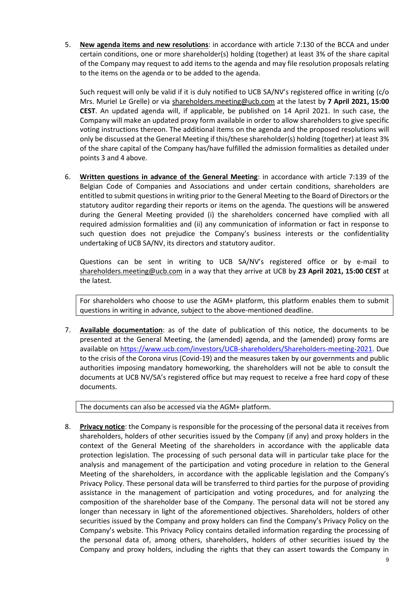5. **New agenda items and new resolutions**: in accordance with article 7:130 of the BCCA and under certain conditions, one or more shareholder(s) holding (together) at least 3% of the share capital of the Company may request to add items to the agenda and may file resolution proposals relating to the items on the agenda or to be added to the agenda.

Such request will only be valid if it is duly notified to UCB SA/NV's registered office in writing (c/o Mrs. Muriel Le Grelle) or via [shareholders.meeting@ucb.com](mailto:shareholders.meeting@ucb.com) at the latest by **7 April 2021, 15:00 CEST**. An updated agenda will, if applicable, be published on 14 April 2021. In such case, the Company will make an updated proxy form available in order to allow shareholders to give specific voting instructions thereon. The additional items on the agenda and the proposed resolutions will only be discussed at the General Meeting if this/these shareholder(s) holding (together) at least 3% of the share capital of the Company has/have fulfilled the admission formalities as detailed under points 3 and 4 above.

6. **Written questions in advance of the General Meeting**: in accordance with article 7:139 of the Belgian Code of Companies and Associations and under certain conditions, shareholders are entitled to submit questions in writing prior to the General Meeting to the Board of Directors or the statutory auditor regarding their reports or items on the agenda. The questions will be answered during the General Meeting provided (i) the shareholders concerned have complied with all required admission formalities and (ii) any communication of information or fact in response to such question does not prejudice the Company's business interests or the confidentiality undertaking of UCB SA/NV, its directors and statutory auditor.

Questions can be sent in writing to UCB SA/NV's registered office or by e-mail to [shareholders.meeting@ucb.com](mailto:shareholders.meeting@ucb.com) in a way that they arrive at UCB by **23 April 2021, 15:00 CEST** at the latest.

For shareholders who choose to use the AGM+ platform, this platform enables them to submit questions in writing in advance, subject to the above-mentioned deadline.

7. **Available documentation**: as of the date of publication of this notice, the documents to be presented at the General Meeting, the (amended) agenda, and the (amended) proxy forms are available on [https://www.ucb.com/investors/UCB-shareholders/Shareholders-meeting-2021.](https://www.ucb.com/investors/UCB-shareholders/Shareholders-meeting-20210) Due to the crisis of the Corona virus (Covid-19) and the measures taken by our governments and public authorities imposing mandatory homeworking, the shareholders will not be able to consult the documents at UCB NV/SA's registered office but may request to receive a free hard copy of these documents.

The documents can also be accessed via the AGM+ platform.

8. **Privacy notice**: the Company is responsible for the processing of the personal data it receives from shareholders, holders of other securities issued by the Company (if any) and proxy holders in the context of the General Meeting of the shareholders in accordance with the applicable data protection legislation. The processing of such personal data will in particular take place for the analysis and management of the participation and voting procedure in relation to the General Meeting of the shareholders, in accordance with the applicable legislation and the Company's Privacy Policy. These personal data will be transferred to third parties for the purpose of providing assistance in the management of participation and voting procedures, and for analyzing the composition of the shareholder base of the Company. The personal data will not be stored any longer than necessary in light of the aforementioned objectives. Shareholders, holders of other securities issued by the Company and proxy holders can find the Company's Privacy Policy on the Company's website. This Privacy Policy contains detailed information regarding the processing of the personal data of, among others, shareholders, holders of other securities issued by the Company and proxy holders, including the rights that they can assert towards the Company in